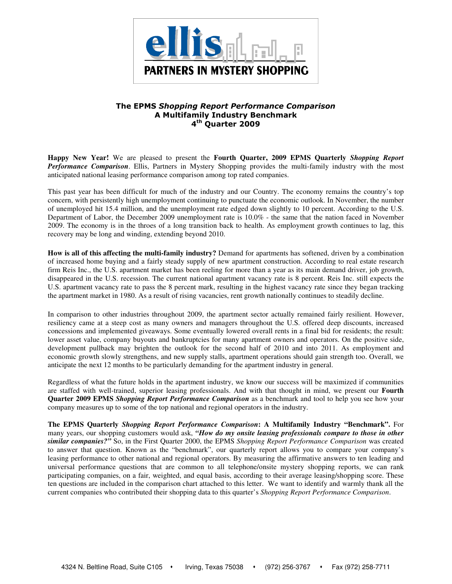

# The EPMS Shopping Report Performance Comparison A Multifamily Industry Benchmark 4<sup>th</sup> Quarter 2009

**Happy New Year!** We are pleased to present the **Fourth Quarter, 2009 EPMS Quarterly** *Shopping Report Performance Comparison*. Ellis, Partners in Mystery Shopping provides the multi-family industry with the most anticipated national leasing performance comparison among top rated companies.

This past year has been difficult for much of the industry and our Country. The economy remains the country's top concern, with persistently high unemployment continuing to punctuate the economic outlook. In November, the number of unemployed hit 15.4 million, and the unemployment rate edged down slightly to 10 percent. According to the U.S. Department of Labor, the December 2009 unemployment rate is 10.0% - the same that the nation faced in November 2009. The economy is in the throes of a long transition back to health. As employment growth continues to lag, this recovery may be long and winding, extending beyond 2010.

**How is all of this affecting the multi-family industry?** Demand for apartments has softened, driven by a combination of increased home buying and a fairly steady supply of new apartment construction. According to real estate research firm Reis Inc., the U.S. apartment market has been reeling for more than a year as its main demand driver, job growth, disappeared in the U.S. recession. The current national apartment vacancy rate is 8 percent. Reis Inc. still expects the U.S. apartment vacancy rate to pass the 8 percent mark, resulting in the highest vacancy rate since they began tracking the apartment market in 1980. As a result of rising vacancies, rent growth nationally continues to steadily decline.

In comparison to other industries throughout 2009, the apartment sector actually remained fairly resilient. However, resiliency came at a steep cost as many owners and managers throughout the U.S. offered deep discounts, increased concessions and implemented giveaways. Some eventually lowered overall rents in a final bid for residents; the result: lower asset value, company buyouts and bankruptcies for many apartment owners and operators. On the positive side, development pullback may brighten the outlook for the second half of 2010 and into 2011. As employment and economic growth slowly strengthens, and new supply stalls, apartment operations should gain strength too. Overall, we anticipate the next 12 months to be particularly demanding for the apartment industry in general.

Regardless of what the future holds in the apartment industry, we know our success will be maximized if communities are staffed with well-trained, superior leasing professionals. And with that thought in mind, we present our **Fourth Quarter 2009 EPMS** *Shopping Report Performance Comparison* as a benchmark and tool to help you see how your company measures up to some of the top national and regional operators in the industry.

**The EPMS Quarterly** *Shopping Report Performance Comparison***: A Multifamily Industry "Benchmark".** For many years, our shopping customers would ask, *"How do my onsite leasing professionals compare to those in other similar companies?"* So, in the First Quarter 2000, the EPMS *Shopping Report Performance Comparison* was created to answer that question. Known as the "benchmark", our quarterly report allows you to compare your company's leasing performance to other national and regional operators. By measuring the affirmative answers to ten leading and universal performance questions that are common to all telephone/onsite mystery shopping reports, we can rank participating companies, on a fair, weighted, and equal basis, according to their average leasing/shopping score. These ten questions are included in the comparison chart attached to this letter. We want to identify and warmly thank all the current companies who contributed their shopping data to this quarter's *Shopping Report Performance Comparison*.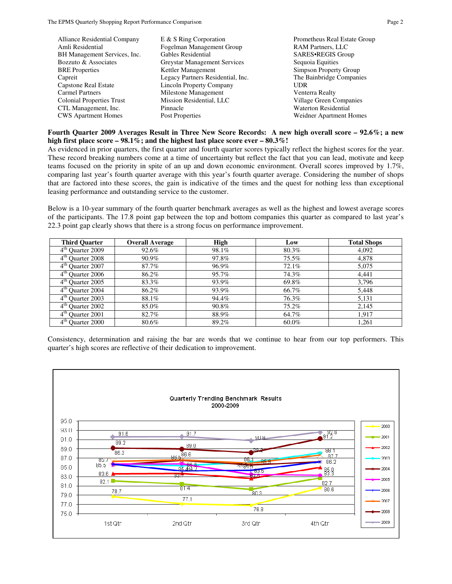| <b>Alliance Residential Company</b> | E & S Ring Corporation              | Prometheus Real Estate Group |
|-------------------------------------|-------------------------------------|------------------------------|
| Amli Residential                    | Fogelman Management Group           | <b>RAM Partners, LLC</b>     |
| BH Management Services, Inc.        | Gables Residential                  | SARES.REGIS Group            |
| Bozzuto & Associates                | <b>Greystar Management Services</b> | Sequoia Equities             |
| <b>BRE</b> Properties               | Kettler Management                  | Simpson Property Group       |
| Capreit                             | Legacy Partners Residential, Inc.   | The Bainbridge Companies     |
| Capstone Real Estate                | <b>Lincoln Property Company</b>     | UDR                          |
| <b>Carmel Partners</b>              | Milestone Management                | Venterra Realty              |
| <b>Colonial Properties Trust</b>    | Mission Residential, LLC            | Village Green Companies      |
| CTL Management, Inc.                | Pinnacle                            | <b>Waterton Residential</b>  |
| <b>CWS</b> Apartment Homes          | Post Properties                     | Weidner Apartment Homes      |

#### **Fourth Quarter 2009 Averages Result in Three New Score Records: A new high overall score – 92.6%; a new high first place score – 98.1%; and the highest last place score ever – 80.3%!**

As evidenced in prior quarters, the first quarter and fourth quarter scores typically reflect the highest scores for the year. These record breaking numbers come at a time of uncertainty but reflect the fact that you can lead, motivate and keep teams focused on the priority in spite of an up and down economic environment. Overall scores improved by 1.7%, comparing last year's fourth quarter average with this year's fourth quarter average. Considering the number of shops that are factored into these scores, the gain is indicative of the times and the quest for nothing less than exceptional leasing performance and outstanding service to the customer.

Below is a 10-year summary of the fourth quarter benchmark averages as well as the highest and lowest average scores of the participants. The 17.8 point gap between the top and bottom companies this quarter as compared to last year's 22.3 point gap clearly shows that there is a strong focus on performance improvement.

| <b>Third Quarter</b>             | <b>Overall Average</b> | <b>High</b> | Low   | <b>Total Shops</b> |
|----------------------------------|------------------------|-------------|-------|--------------------|
| 4 <sup>th</sup> Quarter 2009     | 92.6%                  | 98.1%       | 80.3% | 4,092              |
| 4 <sup>th</sup> Quarter 2008     | 90.9%                  | 97.8%       | 75.5% | 4,878              |
| 4 <sup>th</sup> Quarter 2007     | 87.7%                  | 96.9%       | 72.1% | 5,075              |
| 4 <sup>th</sup> Quarter 2006     | 86.2%                  | 95.7%       | 74.3% | 4.441              |
| 4 <sup>th</sup> Quarter 2005     | 83.3%                  | 93.9%       | 69.8% | 3.796              |
| 4 <sup>th</sup> Quarter 2004     | 86.2%                  | 93.9%       | 66.7% | 5,448              |
| $4th$ Quarter 2003               | 88.1%                  | 94.4%       | 76.3% | 5,131              |
| 4 <sup>th</sup> Quarter 2002     | 85.0%                  | 90.8%       | 75.2% | 2,145              |
| $\overline{4^{th}}$ Quarter 2001 | 82.7%                  | 88.9%       | 64.7% | 1.917              |
| $4th$ Quarter 2000               | 80.6%                  | 89.2%       | 60.0% | 1.261              |

Consistency, determination and raising the bar are words that we continue to hear from our top performers. This quarter's high scores are reflective of their dedication to improvement.

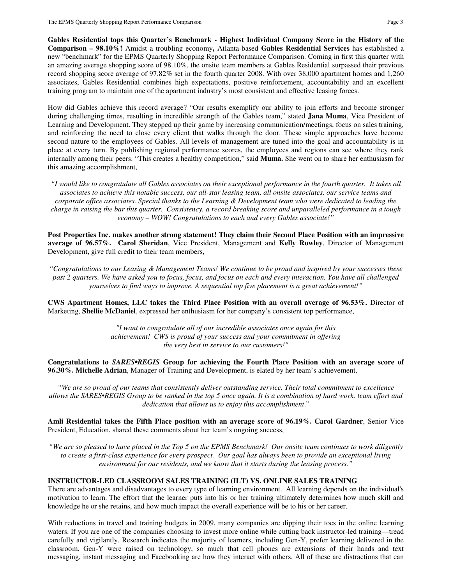**Gables Residential tops this Quarter's Benchmark - Highest Individual Company Score in the History of the Comparison – 98.10%!** Amidst a troubling economy**,** Atlanta-based **Gables Residential Services** has established a new "benchmark" for the EPMS Quarterly Shopping Report Performance Comparison. Coming in first this quarter with an amazing average shopping score of 98.10%, the onsite team members at Gables Residential surpassed their previous record shopping score average of 97.82% set in the fourth quarter 2008. With over 38,000 apartment homes and 1,260 associates, Gables Residential combines high expectations, positive reinforcement, accountability and an excellent training program to maintain one of the apartment industry's most consistent and effective leasing forces.

How did Gables achieve this record average? "Our results exemplify our ability to join efforts and become stronger during challenging times, resulting in incredible strength of the Gables team," stated **Jana Muma**, Vice President of Learning and Development. They stepped up their game by increasing communication/meetings, focus on sales training, and reinforcing the need to close every client that walks through the door. These simple approaches have become second nature to the employees of Gables. All levels of management are tuned into the goal and accountability is in place at every turn. By publishing regional performance scores, the employees and regions can see where they rank internally among their peers. "This creates a healthy competition," said **Muma.** She went on to share her enthusiasm for this amazing accomplishment,

*"I would like to congratulate all Gables associates on their exceptional performance in the fourth quarter. It takes all associates to achieve this notable success, our all-star leasing team, all onsite associates, our service teams and corporate office associates. Special thanks to the Learning & Development team who were dedicated to leading the charge in raising the bar this quarter. Consistency, a record breaking score and unparalleled performance in a tough economy – WOW! Congratulations to each and every Gables associate!"* 

**Post Properties Inc. makes another strong statement! They claim their Second Place Position with an impressive average of 96.57%. Carol Sheridan**, Vice President, Management and **Kelly Rowley**, Director of Management Development, give full credit to their team members,

*"Congratulations to our Leasing & Management Teams! We continue to be proud and inspired by your successes these past 2 quarters. We have asked you to focus, focus, and focus on each and every interaction. You have all challenged yourselves to find ways to improve. A sequential top five placement is a great achievement!"*

**CWS Apartment Homes, LLC takes the Third Place Position with an overall average of 96.53%.** Director of Marketing, **Shellie McDaniel**, expressed her enthusiasm for her company's consistent top performance,

> *"I want to congratulate all of our incredible associates once again for this achievement! CWS is proud of your success and your commitment in offering the very best in service to our customers!"*

**Congratulations to** *SARES•REGIS* **Group for achieving the Fourth Place Position with an average score of 96.30%. Michelle Adrian**, Manager of Training and Development, is elated by her team's achievement,

*"We are so proud of our teams that consistently deliver outstanding service. Their total commitment to excellence allows the SARES•REGIS Group to be ranked in the top 5 once again. It is a combination of hard work, team effort and dedication that allows us to enjoy this accomplishment*."

**Amli Residential takes the Fifth Place position with an average score of 96.19%. Carol Gardner**, Senior Vice President, Education, shared these comments about her team's ongoing success,

*"We are so pleased to have placed in the Top 5 on the EPMS Benchmark! Our onsite team continues to work diligently to create a first-class experience for every prospect. Our goal has always been to provide an exceptional living environment for our residents, and we know that it starts during the leasing process."* 

### **INSTRUCTOR-LED CLASSROOM SALES TRAINING (ILT) VS. ONLINE SALES TRAINING**

There are advantages and disadvantages to every type of learning environment. All learning depends on the individual's motivation to learn. The effort that the learner puts into his or her training ultimately determines how much skill and knowledge he or she retains, and how much impact the overall experience will be to his or her career.

With reductions in travel and training budgets in 2009, many companies are dipping their toes in the online learning waters. If you are one of the companies choosing to invest more online while cutting back instructor-led training—tread carefully and vigilantly. Research indicates the majority of learners, including Gen-Y, prefer learning delivered in the classroom. Gen-Y were raised on technology, so much that cell phones are extensions of their hands and text messaging, instant messaging and Facebooking are how they interact with others. All of these are distractions that can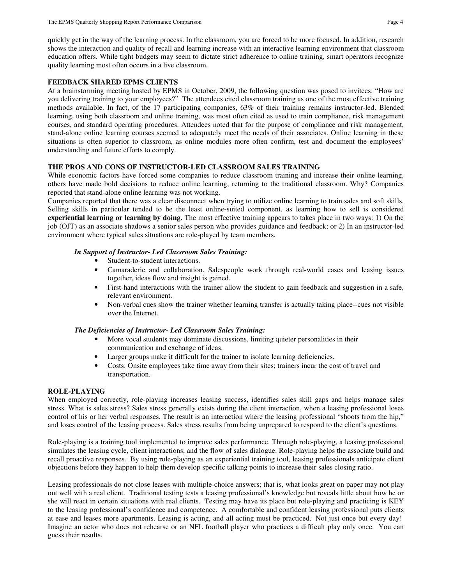quickly get in the way of the learning process. In the classroom, you are forced to be more focused. In addition, research shows the interaction and quality of recall and learning increase with an interactive learning environment that classroom education offers. While tight budgets may seem to dictate strict adherence to online training, smart operators recognize quality learning most often occurs in a live classroom.

## **FEEDBACK SHARED EPMS CLIENTS**

At a brainstorming meeting hosted by EPMS in October, 2009, the following question was posed to invitees: "How are you delivering training to your employees?" The attendees cited classroom training as one of the most effective training methods available. In fact, of the 17 participating companies, 63% of their training remains instructor-led. Blended learning, using both classroom and online training, was most often cited as used to train compliance, risk management courses, and standard operating procedures. Attendees noted that for the purpose of compliance and risk management, stand-alone online learning courses seemed to adequately meet the needs of their associates. Online learning in these situations is often superior to classroom, as online modules more often confirm, test and document the employees' understanding and future efforts to comply.

## **THE PROS AND CONS OF INSTRUCTOR-LED CLASSROOM SALES TRAINING**

While economic factors have forced some companies to reduce classroom training and increase their online learning, others have made bold decisions to reduce online learning, returning to the traditional classroom. Why? Companies reported that stand-alone online learning was not working.

Companies reported that there was a clear disconnect when trying to utilize online learning to train sales and soft skills. Selling skills in particular tended to be the least online-suited component, as learning how to sell is considered **experiential learning or learning by doing.** The most effective training appears to takes place in two ways: 1) On the job (OJT) as an associate shadows a senior sales person who provides guidance and feedback; or 2) In an instructor-led environment where typical sales situations are role-played by team members.

## *In Support of Instructor- Led Classroom Sales Training:*

- Student-to-student interactions.
- Camaraderie and collaboration. Salespeople work through real-world cases and leasing issues together, ideas flow and insight is gained.
- First-hand interactions with the trainer allow the student to gain feedback and suggestion in a safe, relevant environment.
- Non-verbal cues show the trainer whether learning transfer is actually taking place--cues not visible over the Internet.

## *The Deficiencies of Instructor- Led Classroom Sales Training:*

- More vocal students may dominate discussions, limiting quieter personalities in their communication and exchange of ideas.
- Larger groups make it difficult for the trainer to isolate learning deficiencies.
- Costs: Onsite employees take time away from their sites; trainers incur the cost of travel and transportation.

## **ROLE-PLAYING**

When employed correctly, role-playing increases leasing success, identifies sales skill gaps and helps manage sales stress. What is sales stress? Sales stress generally exists during the client interaction, when a leasing professional loses control of his or her verbal responses. The result is an interaction where the leasing professional "shoots from the hip," and loses control of the leasing process. Sales stress results from being unprepared to respond to the client's questions.

Role-playing is a training tool implemented to improve sales performance. Through role-playing, a leasing professional simulates the leasing cycle, client interactions, and the flow of sales dialogue. Role-playing helps the associate build and recall proactive responses. By using role-playing as an experiential training tool, leasing professionals anticipate client objections before they happen to help them develop specific talking points to increase their sales closing ratio.

Leasing professionals do not close leases with multiple-choice answers; that is, what looks great on paper may not play out well with a real client. Traditional testing tests a leasing professional's knowledge but reveals little about how he or she will react in certain situations with real clients. Testing may have its place but role-playing and practicing is KEY to the leasing professional's confidence and competence. A comfortable and confident leasing professional puts clients at ease and leases more apartments. Leasing is acting, and all acting must be practiced. Not just once but every day! Imagine an actor who does not rehearse or an NFL football player who practices a difficult play only once. You can guess their results.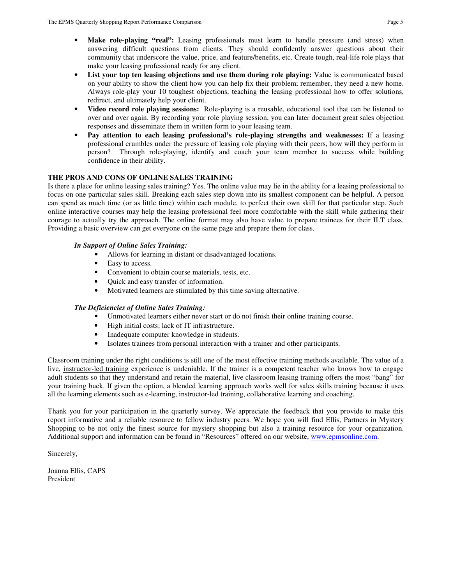- Make role-playing "real": Leasing professionals must learn to handle pressure (and stress) when answering difficult questions from clients. They should confidently answer questions about their community that underscore the value, price, and feature/benefits, etc. Create tough, real-life role plays that make your leasing professional ready for any client.
- List your top ten leasing objections and use them during role playing: Value is communicated based on your ability to show the client how you can help fix their problem; remember, they need a new home. Always role-play your 10 toughest objections, teaching the leasing professional how to offer solutions, redirect, and ultimately help your client.
- **Video record role playing sessions:** Role-playing is a reusable, educational tool that can be listened to over and over again. By recording your role playing session, you can later document great sales objection responses and disseminate them in written form to your leasing team.
- **Pay attention to each leasing professional's role-playing strengths and weaknesses:** If a leasing professional crumbles under the pressure of leasing role playing with their peers, how will they perform in person? Through role-playing, identify and coach your team member to success while building confidence in their ability.

## **THE PROS AND CONS OF ONLINE SALES TRAINING**

Is there a place for online leasing sales training? Yes. The online value may lie in the ability for a leasing professional to focus on one particular sales skill. Breaking each sales step down into its smallest component can be helpful. A person can spend as much time (or as little time) within each module, to perfect their own skill for that particular step. Such online interactive courses may help the leasing professional feel more comfortable with the skill while gathering their courage to actually try the approach. The online format may also have value to prepare trainees for their ILT class. Providing a basic overview can get everyone on the same page and prepare them for class.

## *In Support of Online Sales Training:*

- Allows for learning in distant or disadvantaged locations.
- Easy to access.
- Convenient to obtain course materials, tests, etc.
- Quick and easy transfer of information.
- Motivated learners are stimulated by this time saving alternative.

### *The Deficiencies of Online Sales Training:*

- Unmotivated learners either never start or do not finish their online training course.
- High initial costs; lack of IT infrastructure.
- Inadequate computer knowledge in students.
- Isolates trainees from personal interaction with a trainer and other participants.

Classroom training under the right conditions is still one of the most effective training methods available. The value of a live, instructor-led training experience is undeniable. If the trainer is a competent teacher who knows how to engage adult students so that they understand and retain the material, live classroom leasing training offers the most "bang" for your training buck. If given the option, a blended learning approach works well for sales skills training because it uses all the learning elements such as e-learning, instructor-led training, collaborative learning and coaching.

Thank you for your participation in the quarterly survey. We appreciate the feedback that you provide to make this report informative and a reliable resource to fellow industry peers. We hope you will find Ellis, Partners in Mystery Shopping to be not only the finest source for mystery shopping but also a training resource for your organization. Additional support and information can be found in "Resources" offered on our website, www.epmsonline.com.

Sincerely,

Joanna Ellis, CAPS President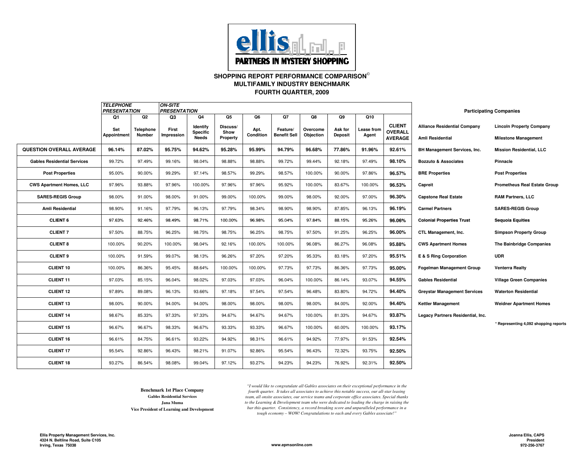

#### **SHOPPING REPORT PERFORMANCE COMPARISON FOURTH QUARTER, 2009MULTIFAMILY INDUSTRY BENCHMARK**

|                                    | <b>TELEPHONE</b><br><b>PRESENTATION</b> |                     | <b>ON-SITE</b><br><b>PRESENTATION</b> |                             |                  |                   |                                 |                       |                           |                     |                                 | <b>Participating Companies</b>      |                                       |
|------------------------------------|-----------------------------------------|---------------------|---------------------------------------|-----------------------------|------------------|-------------------|---------------------------------|-----------------------|---------------------------|---------------------|---------------------------------|-------------------------------------|---------------------------------------|
|                                    | Q1                                      | Q2                  | Q3                                    | Q4                          | Q5               | Q6                | Q7                              | Q8                    | Q9                        | Q10                 |                                 |                                     |                                       |
|                                    | Set<br><b>Appointment</b>               | Telephone<br>Number | First<br>Impression                   | Identify<br><b>Specific</b> | Discuss/<br>Show | Apt.<br>Condition | Feature/<br><b>Benefit Sell</b> | Overcome<br>Objection | Ask for<br><b>Deposit</b> | Lease from<br>Agent | <b>CLIENT</b><br><b>OVERALL</b> | <b>Alliance Residential Company</b> | <b>Lincoln Property Company</b>       |
|                                    |                                         |                     |                                       | <b>Needs</b>                | Property         |                   |                                 |                       |                           |                     | <b>AVERAGE</b>                  | Amli Residential                    | <b>Milestone Management</b>           |
| <b>QUESTION OVERALL AVERAGE</b>    | 96.14%                                  | 87.02%              | 95.75%                                | 94.62%                      | 95.28%           | 95.99%            | 94.79%                          | 96.68%                | 77.86%                    | 91.96%              | 92.61%                          | BH Management Services, Inc.        | <b>Mission Residential, LLC</b>       |
| <b>Gables Residential Services</b> | 99.72%                                  | 97.49%              | 99.16%                                | 98.04%                      | 98.88%           | 98.88%            | 99.72%                          | 99.44%                | 92.18%                    | 97.49%              | 98.10%                          | <b>Bozzuto &amp; Associates</b>     | Pinnacle                              |
| <b>Post Properties</b>             | 95.00%                                  | 90.00%              | 99.29%                                | 97.14%                      | 98.57%           | 99.29%            | 98.57%                          | 100.00%               | 90.00%                    | 97.86%              | 96.57%                          | <b>BRE Properties</b>               | <b>Post Properties</b>                |
| <b>CWS Apartment Homes, LLC</b>    | 97.96%                                  | 93.88%              | 97.96%                                | 100.00%                     | 97.96%           | 97.96%            | 95.92%                          | 100.00%               | 83.67%                    | 100.00%             | 96.53%                          | Capreit                             | <b>Prometheus Real Estate Group</b>   |
| <b>SARES-REGIS Group</b>           | 98.00%                                  | 91.00%              | 98.00%                                | 91.00%                      | 99.00%           | 100.00%           | 99.00%                          | 98.00%                | 92.00%                    | 97.00%              | 96.30%                          | <b>Capstone Real Estate</b>         | <b>RAM Partners, LLC</b>              |
| Amli Residential                   | 98.90%                                  | 91.16%              | 97.79%                                | 96.13%                      | 97.79%           | 98.34%            | 98.90%                          | 98.90%                | 87.85%                    | 96.13%              | 96.19%                          | <b>Carmel Partners</b>              | <b>SARES-REGIS Group</b>              |
| <b>CLIENT 6</b>                    | 97.63%                                  | 92.46%              | 98.49%                                | 98.71%                      | 100.00%          | 96.98%            | 95.04%                          | 97.84%                | 88.15%                    | 95.26%              | 96.06%                          | <b>Colonial Properties Trust</b>    | <b>Sequoia Equities</b>               |
| <b>CLIENT 7</b>                    | 97.50%                                  | 88.75%              | 96.25%                                | 98.75%                      | 98.75%           | 96.25%            | 98.75%                          | 97.50%                | 91.25%                    | 96.25%              | 96.00%                          | <b>CTL Management. Inc.</b>         | <b>Simpson Property Group</b>         |
| <b>CLIENT 8</b>                    | 100.00%                                 | 90.20%              | 100.00%                               | 98.04%                      | 92.16%           | 100.00%           | 100.00%                         | 96.08%                | 86.27%                    | 96.08%              | 95.88%                          | <b>CWS Apartment Homes</b>          | The Bainbridge Companies              |
| <b>CLIENT 9</b>                    | 100.00%                                 | 91.59%              | 99.07%                                | 98.13%                      | 96.26%           | 97.20%            | 97.20%                          | 95.33%                | 83.18%                    | 97.20%              | 95.51%                          | E & S Ring Corporation              | <b>UDR</b>                            |
| <b>CLIENT 10</b>                   | 100.00%                                 | 86.36%              | 95.45%                                | 88.64%                      | 100.00%          | 100.00%           | 97.73%                          | 97.73%                | 86.36%                    | 97.73%              | 95.00%                          | <b>Fogelman Management Group</b>    | Venterra Realty                       |
| <b>CLIENT 11</b>                   | 97.03%                                  | 85.15%              | 96.04%                                | 98.02%                      | 97.03%           | 97.03%            | 96.04%                          | 100.00%               | 86.14%                    | 93.07%              | 94.55%                          | <b>Gables Residential</b>           | <b>Village Green Companies</b>        |
| <b>CLIENT 12</b>                   | 97.89%                                  | 89.08%              | 96.13%                                | 93.66%                      | 97.18%           | 97.54%            | 97.54%                          | 96.48%                | 83.80%                    | 94.72%              | 94.40%                          | <b>Greystar Management Services</b> | <b>Waterton Residential</b>           |
| <b>CLIENT 13</b>                   | 98.00%                                  | 90.00%              | 94.00%                                | 94.00%                      | 98.00%           | 98.00%            | 98.00%                          | 98.00%                | 84.00%                    | 92.00%              | 94.40%                          | <b>Kettler Management</b>           | <b>Weidner Apartment Homes</b>        |
| <b>CLIENT 14</b>                   | 98.67%                                  | 85.33%              | 97.33%                                | 97.33%                      | 94.67%           | 94.67%            | 94.67%                          | 100.00%               | 81.33%                    | 94.67%              | 93.87%                          | Legacy Partners Residential, Inc.   |                                       |
| <b>CLIENT 15</b>                   | 96.67%                                  | 96.67%              | 98.33%                                | 96.67%                      | 93.33%           | 93.33%            | 96.67%                          | 100.00%               | 60.00%                    | 100.00%             | 93.17%                          |                                     | * Representing 4,092 shopping reports |
| CLIENT 16                          | 96.61%                                  | 84.75%              | 96.61%                                | 93.22%                      | 94.92%           | 98.31%            | 96.61%                          | 94.92%                | 77.97%                    | 91.53%              | 92.54%                          |                                     |                                       |
| <b>CLIENT 17</b>                   | 95.54%                                  | 92.86%              | 96.43%                                | 98.21%                      | 91.07%           | 92.86%            | 95.54%                          | 96.43%                | 72.32%                    | 93.75%              | 92.50%                          |                                     |                                       |
| <b>CLIENT 18</b>                   | 93.27%                                  | 86.54%              | 98.08%                                | 99.04%                      | 97.12%           | 93.27%            | 94.23%                          | 94.23%                | 76.92%                    | 92.31%              | 92.50%                          |                                     |                                       |

**Benchmark 1st Place CompanyGables Residential ServicesJana MumaVice President of Learning and Development** *"I would like to congratulate all Gables associates on their exceptional performance in the fourth quarter. It takes all associates to achieve this notable success, our all-star leasing team, all onsite associates, our service teams and corporate office associates. Special thanks to the Learning & Development team who were dedicated to leading the charge in raising the bar this quarter. Consistency, a record breaking score and unparalleled performance in a tough economy – WOW! Congratulations to each and every Gables associate!"*